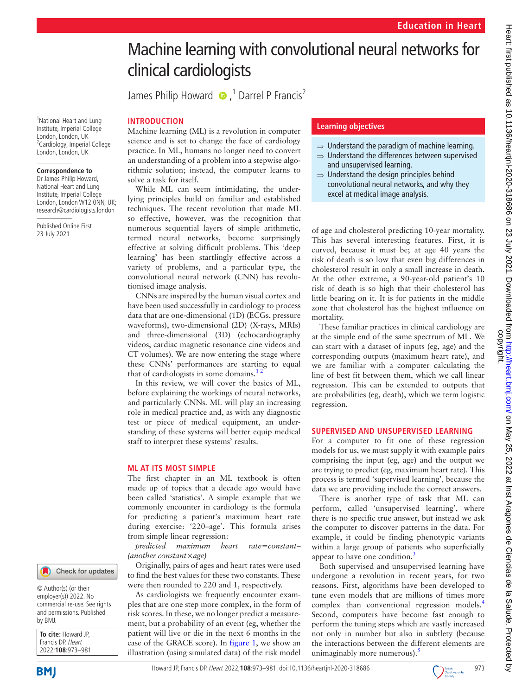# Machine learning with convolutional neural networks for clinical cardiologists JamesPhilip Howard  $\bullet$  ,<sup>1</sup> Darrel P Francis<sup>2</sup> **INTRODUCTION** Machine learning (ML) is a revolution in computer science and is set to change the face of cardiology practice. In ML, humans no longer need to convert an understanding of a problem into a stepwise algorithmic solution; instead, the computer learns to solve a task for itself. While ML can seem intimidating, the underlying principles build on familiar and established techniques. The recent revolution that made ML so effective, however, was the recognition that numerous sequential layers of simple arithmetic,

termed neural networks, become surprisingly effective at solving difficult problems. This 'deep learning' has been startlingly effective across a variety of problems, and a particular type, the convolutional neural network (CNN) has revolutionised image analysis.

CNNs are inspired by the human visual cortex and have been used successfully in cardiology to process data that are one-dimensional (1D) (ECGs, pressure waveforms), two-dimensional (2D) (X-rays, MRIs) and three-dimensional (3D) (echocardiography videos, cardiac magnetic resonance cine videos and CT volumes). We are now entering the stage where these CNNs' performances are starting to equal that of cardiologists in some domains.<sup>12</sup>

In this review, we will cover the basics of ML, before explaining the workings of neural networks, and particularly CNNs. ML will play an increasing role in medical practice and, as with any diagnostic test or piece of medical equipment, an understanding of these systems will better equip medical staff to interpret these systems' results.

#### **ML AT ITS MOST SIMPLE**

The first chapter in an ML textbook is often made up of topics that a decade ago would have been called 'statistics'. A simple example that we commonly encounter in cardiology is the formula for predicting a patient's maximum heart rate during exercise: '220–age'. This formula arises from simple linear regression:

*predicted maximum heart rate=constant– (another constant×age)*

Originally, pairs of ages and heart rates were used to find the best values for these two constants. These were then rounded to 220 and 1, respectively.

As cardiologists we frequently encounter examples that are one step more complex, in the form of risk scores. In these, we no longer predict a measurement, but a probability of an event (eg, whether the patient will live or die in the next 6 months in the case of the GRACE score). In [figure](#page-1-0) 1, we show an illustration (using simulated data) of the risk model

#### **Learning objectives**

- $\Rightarrow$  Understand the paradigm of machine learning.
- ⇒ Understand the differences between supervised and unsupervised learning.
- ⇒ Understand the design principles behind convolutional neural networks, and why they excel at medical image analysis.

of age and cholesterol predicting 10-year mortality. This has several interesting features. First, it is curved, because it must be; at age 40 years the risk of death is so low that even big differences in cholesterol result in only a small increase in death. At the other extreme, a 90-year-old patient's 10 risk of death is so high that their cholesterol has little bearing on it. It is for patients in the middle zone that cholesterol has the highest influence on mortality.

These familiar practices in clinical cardiology are at the simple end of the same spectrum of ML. We can start with a dataset of inputs (eg, age) and the corresponding outputs (maximum heart rate), and we are familiar with a computer calculating the line of best fit between them, which we call linear regression. This can be extended to outputs that are probabilities (eg, death), which we term logistic regression.

### **SUPERVISED AND UNSUPERVISED LEARNING**

For a computer to fit one of these regression models for us, we must supply it with example pairs comprising the input (eg, age) and the output we are trying to predict (eg, maximum heart rate). This process is termed 'supervised learning', because the data we are providing include the correct answers.

There is another type of task that ML can perform, called 'unsupervised learning', where there is no specific true answer, but instead we ask the computer to discover patterns in the data. For example, it could be finding phenotypic variants within a large group of patients who superficially appear to have one condition.<sup>3</sup>

Both supervised and unsupervised learning have undergone a revolution in recent years, for two reasons. First, algorithms have been developed to tune even models that are millions of times more complex than conventional regression models.<sup>[4](#page-8-2)</sup> Second, computers have become fast enough to perform the tuning steps which are vastly increased not only in number but also in subtlety (because the interactions between the different elements are unimaginably more numerous).

Check for updates

<sup>1</sup>National Heart and Lung Institute, Imperial College London, London, UK <sup>2</sup> Cardiology, Imperial College London, London, UK

**Correspondence to** Dr James Philip Howard, National Heart and Lung Institute, Imperial College London, London W12 ONN, UK; research@cardiologists.london

Published Online First 23 July 2021

© Author(s) (or their employer(s)) 2022. No commercial re-use. See rights and permissions. Published by BMJ.

**To cite:** Howard JP, Francis DP. Heart 2022;**108**:973–981.

**BMI** 

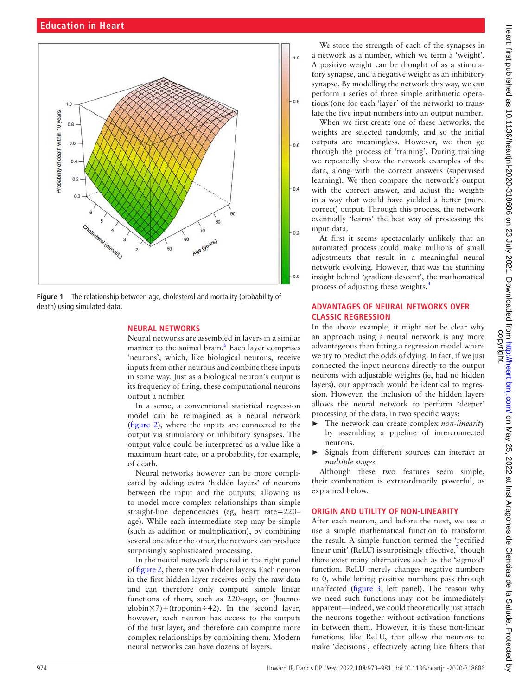

<span id="page-1-0"></span>**Figure 1** The relationship between age, cholesterol and mortality (probability of death) using simulated data.

#### **NEURAL NETWORKS**

Neural networks are assembled in layers in a similar manner to the animal brain.<sup>6</sup> Each layer comprises 'neurons', which, like biological neurons, receive inputs from other neurons and combine these inputs in some way. Just as a biological neuron's output is its frequency of firing, these computational neurons output a number.

In a sense, a conventional statistical regression model can be reimagined as a neural network ([figure](#page-2-0) 2), where the inputs are connected to the output via stimulatory or inhibitory synapses. The output value could be interpreted as a value like a maximum heart rate, or a probability, for example, of death.

Neural networks however can be more complicated by adding extra 'hidden layers' of neurons between the input and the outputs, allowing us to model more complex relationships than simple straight-line dependencies (eg, heart rate=220– age). While each intermediate step may be simple (such as addition or multiplication), by combining several one after the other, the network can produce surprisingly sophisticated processing.

In the neural network depicted in the right panel of [figure](#page-2-0) 2, there are two hidden layers. Each neuron in the first hidden layer receives only the raw data and can therefore only compute simple linear functions of them, such as 220–age, or (haemo $g\{a\}$  =  $\chi$  7) + (troponin ÷ 42). In the second layer, however, each neuron has access to the outputs of the first layer, and therefore can compute more complex relationships by combining them. Modern neural networks can have dozens of layers.

We store the strength of each of the synapses in a network as a number, which we term a 'weight'. A positive weight can be thought of as a stimulatory synapse, and a negative weight as an inhibitory synapse. By modelling the network this way, we can perform a series of three simple arithmetic operations (one for each 'layer' of the network) to translate the five input numbers into an output number.

When we first create one of these networks, the weights are selected randomly, and so the initial outputs are meaningless. However, we then go through the process of 'training'. During training we repeatedly show the network examples of the data, along with the correct answers (supervised learning). We then compare the network's output with the correct answer, and adjust the weights in a way that would have yielded a better (more correct) output. Through this process, the network eventually 'learns' the best way of processing the input data.

At first it seems spectacularly unlikely that an automated process could make millions of small adjustments that result in a meaningful neural network evolving. However, that was the stunning insight behind 'gradient descent', the mathematical process of adjusting these weights[.4](#page-8-2)

## **ADVANTAGES OF NEURAL NETWORKS OVER CLASSIC REGRESSION**

In the above example, it might not be clear why an approach using a neural network is any more advantageous than fitting a regression model where we try to predict the odds of dying. In fact, if we just connected the input neurons directly to the output neurons with adjustable weights (ie, had no hidden layers), our approach would be identical to regression. However, the inclusion of the hidden layers allows the neural network to perform 'deeper' processing of the data, in two specific ways:

- ► The network can create complex *non-linearity* by assembling a pipeline of interconnected neurons.
- ► Signals from different sources can interact at *multiple stages.*

Although these two features seem simple, their combination is extraordinarily powerful, as explained below.

## **ORIGIN AND UTILITY OF NON-LINEARITY**

After each neuron, and before the next, we use a use a simple mathematical function to transform the result. A simple function termed the 'rectified linear unit' (ReLU) is surprisingly effective, $\frac{7}{7}$  though there exist many alternatives such as the 'sigmoid' function. ReLU merely changes negative numbers to 0, while letting positive numbers pass through unaffected [\(figure](#page-2-1) 3, left panel). The reason why we need such functions may not be immediately apparent—indeed, we could theoretically just attach the neurons together without activation functions in between them. However, it is these non-linear functions, like ReLU, that allow the neurons to make 'decisions', effectively acting like filters that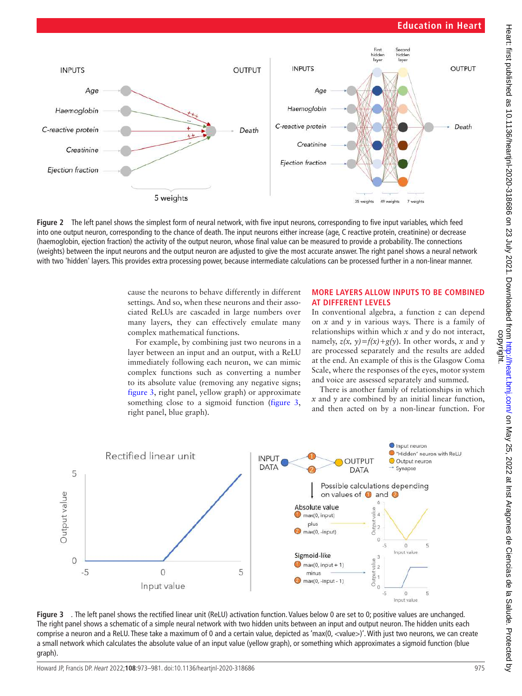## **Education in Heart**



<span id="page-2-0"></span>**Figure 2** The left panel shows the simplest form of neural network, with five input neurons, corresponding to five input variables, which feed into one output neuron, corresponding to the chance of death. The input neurons either increase (age, C reactive protein, creatinine) or decrease (haemoglobin, ejection fraction) the activity of the output neuron, whose final value can be measured to provide a probability. The connections (weights) between the input neurons and the output neuron are adjusted to give the most accurate answer. The right panel shows a neural network with two 'hidden' layers. This provides extra processing power, because intermediate calculations can be processed further in a non-linear manner.

cause the neurons to behave differently in different settings. And so, when these neurons and their associated ReLUs are cascaded in large numbers over many layers, they can effectively emulate many complex mathematical functions.

For example, by combining just two neurons in a layer between an input and an output, with a ReLU immediately following each neuron, we can mimic complex functions such as converting a number to its absolute value (removing any negative signs; [figure](#page-2-1) 3, right panel, yellow graph) or approximate something close to a sigmoid function ([figure](#page-2-1) 3, right panel, blue graph).

### **MORE LAYERS ALLOW INPUTS TO BE COMBINED AT DIFFERENT LEVELS**

In conventional algebra, a function *z* can depend on *x* and *y* in various ways. There is a family of relationships within which *x* and *y* do not interact, namely,  $z(x, y) = f(x) + g(y)$ . In other words, *x* and *y* are processed separately and the results are added at the end. An example of this is the Glasgow Coma Scale, where the responses of the eyes, motor system and voice are assessed separately and summed.

There is another family of relationships in which *x* and *y* are combined by an initial linear function, and then acted on by a non-linear function. For



<span id="page-2-1"></span>**Figure 3** *.* The left panel shows the rectified linear unit (ReLU) activation function. Values below 0 are set to 0; positive values are unchanged. The right panel shows a schematic of a simple neural network with two hidden units between an input and output neuron. The hidden units each comprise a neuron and a ReLU. These take a maximum of 0 and a certain value, depicted as 'max(0, <value>)'. With just two neurons, we can create a small network which calculates the absolute value of an input value (yellow graph), or something which approximates a sigmoid function (blue graph).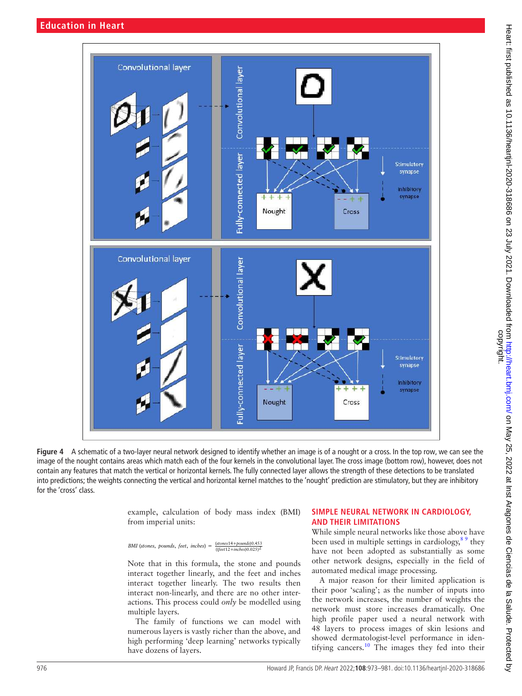

**Figure 4** A schematic of a two-layer neural network designed to identify whether an image is of a nought or a cross. In the top row, we can see the image of the nought contains areas which match each of the four kernels in the convolutional layer. The cross image (bottom row), however, does not contain any features that match the vertical or horizontal kernels. The fully connected layer allows the strength of these detections to be translated into predictions; the weights connecting the vertical and horizontal kernel matches to the 'nought' prediction are stimulatory, but they are inhibitory for the 'cross' class.

<span id="page-3-0"></span>example, calculation of body mass index (BMI) from imperial units:

*BMI* (*stones*, *pounds*, *feet*, *inches*) =  $\frac{(stones14+pounds0.025)^2}{((fect12+inches)0.025)^2}$ 

Note that in this formula, the stone and pounds interact together linearly, and the feet and inches interact together linearly. The two results then interact non-linearly, and there are no other interactions. This process could *only* be modelled using multiple layers.

The family of functions we can model with numerous layers is vastly richer than the above, and high performing 'deep learning' networks typically have dozens of layers.

### **SIMPLE NEURAL NETWORK IN CARDIOLOGY, AND THEIR LIMITATIONS**

While simple neural networks like those above have been used in multiple settings in cardiology,  $8^9$  they have not been adopted as substantially as some other network designs, especially in the field of automated medical image processing.

A major reason for their limited application is their poor 'scaling'; as the number of inputs into the network increases, the number of weights the network must store increases dramatically. One high profile paper used a neural network with 48 layers to process images of skin lesions and showed dermatologist-level performance in iden-tifying cancers.<sup>[10](#page-8-7)</sup> The images they fed into their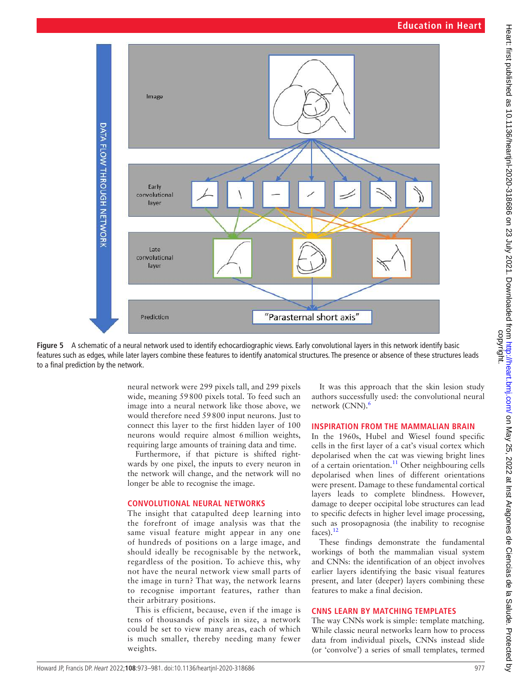

**Figure 5** A schematic of a neural network used to identify echocardiographic views. Early convolutional layers in this network identify basic features such as edges, while later layers combine these features to identify anatomical structures. The presence or absence of these structures leads to a final prediction by the network.

<span id="page-4-0"></span>neural network were 299 pixels tall, and 299 pixels wide, meaning 59800 pixels total. To feed such an image into a neural network like those above, we would therefore need 59800 input neurons. Just to connect this layer to the first hidden layer of 100 neurons would require almost 6million weights, requiring large amounts of training data and time.

Furthermore, if that picture is shifted rightwards by one pixel, the inputs to every neuron in the network will change, and the network will no longer be able to recognise the image.

#### **CONVOLUTIONAL NEURAL NETWORKS**

The insight that catapulted deep learning into the forefront of image analysis was that the same visual feature might appear in any one of hundreds of positions on a large image, and should ideally be recognisable by the network, regardless of the position. To achieve this, why not have the neural network view small parts of the image in turn? That way, the network learns to recognise important features, rather than their arbitrary positions.

This is efficient, because, even if the image is tens of thousands of pixels in size, a network could be set to view many areas, each of which is much smaller, thereby needing many fewer weights.

It was this approach that the skin lesion study authors successfully used: the convolutional neural network (CNN).<sup>6</sup>

### **INSPIRATION FROM THE MAMMALIAN BRAIN**

In the 1960s, Hubel and Wiesel found specific cells in the first layer of a cat's visual cortex which depolarised when the cat was viewing bright lines of a certain orientation.<sup>[11](#page-8-8)</sup> Other neighbouring cells depolarised when lines of different orientations were present. Damage to these fundamental cortical layers leads to complete blindness. However, damage to deeper occipital lobe structures can lead to specific defects in higher level image processing, such as prosopagnosia (the inability to recognise faces).[12](#page-8-9)

These findings demonstrate the fundamental workings of both the mammalian visual system and CNNs: the identification of an object involves earlier layers identifying the basic visual features present, and later (deeper) layers combining these features to make a final decision.

## **CNNS LEARN BY MATCHING TEMPLATES**

The way CNNs work is simple: template matching. While classic neural networks learn how to process data from individual pixels, CNNs instead slide (or 'convolve') a series of small templates, termed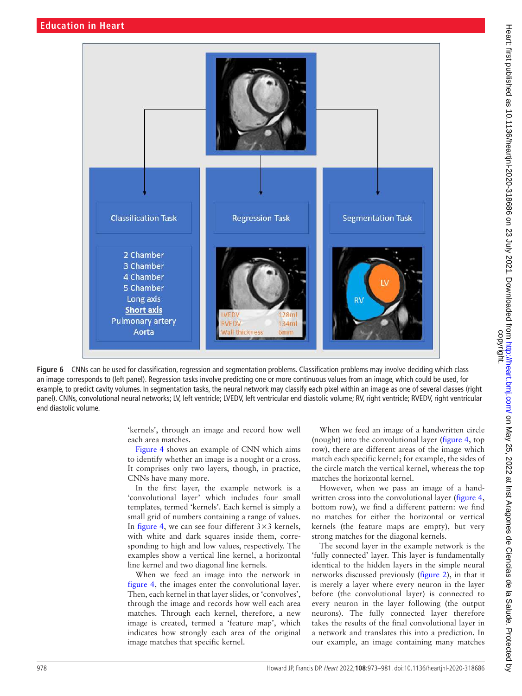

Figure 6 CNNs can be used for classification, regression and segmentation problems. Classification problems may involve deciding which class an image corresponds to (left panel). Regression tasks involve predicting one or more continuous values from an image, which could be used, for example, to predict cavity volumes. In segmentation tasks, the neural network may classify each pixel within an image as one of several classes (right panel). CNNs, convolutional neural networks; LV, left ventricle; LVEDV, left ventricular end diastolic volume; RV, right ventricle; RVEDV, right ventricular end diastolic volume.

<span id="page-5-0"></span>'kernels', through an image and record how well each area matches.

[Figure](#page-3-0) 4 shows an example of CNN which aims to identify whether an image is a nought or a cross. It comprises only two layers, though, in practice, CNNs have many more.

In the first layer, the example network is a 'convolutional layer' which includes four small templates, termed 'kernels'. Each kernel is simply a small grid of numbers containing a range of values. In [figure](#page-3-0) 4, we can see four different  $3 \times 3$  kernels, with white and dark squares inside them, corresponding to high and low values, respectively. The examples show a vertical line kernel, a horizontal line kernel and two diagonal line kernels.

When we feed an image into the network in [figure](#page-3-0) 4, the images enter the convolutional layer. Then, each kernel in that layer slides, or 'convolves', through the image and records how well each area matches. Through each kernel, therefore, a new image is created, termed a 'feature map', which indicates how strongly each area of the original image matches that specific kernel.

When we feed an image of a handwritten circle (nought) into the convolutional layer ([figure](#page-3-0) 4, top row), there are different areas of the image which match each specific kernel; for example, the sides of the circle match the vertical kernel, whereas the top matches the horizontal kernel.

However, when we pass an image of a handwritten cross into the convolutional layer ([figure](#page-3-0) 4, bottom row), we find a different pattern: we find no matches for either the horizontal or vertical kernels (the feature maps are empty), but very strong matches for the diagonal kernels.

The second layer in the example network is the 'fully connected' layer. This layer is fundamentally identical to the hidden layers in the simple neural networks discussed previously [\(figure](#page-2-0) 2), in that it is merely a layer where every neuron in the layer before (the convolutional layer) is connected to every neuron in the layer following (the output neurons). The fully connected layer therefore takes the results of the final convolutional layer in a network and translates this into a prediction. In our example, an image containing many matches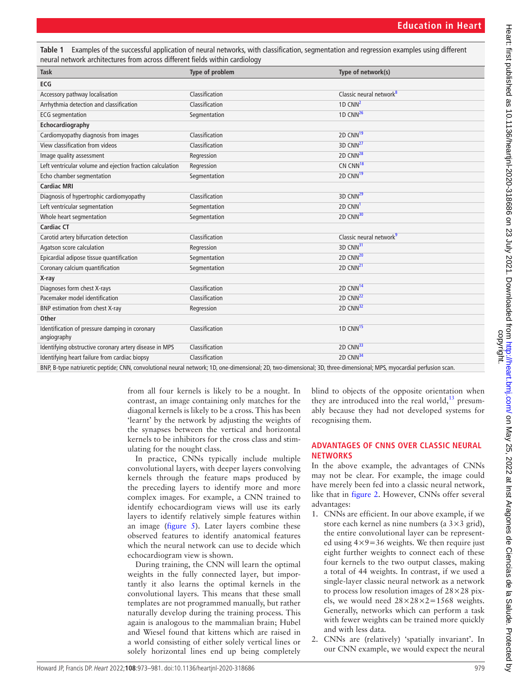<span id="page-6-0"></span>**Table 1** Examples of the successful application of neural networks, with classification, segmentation and regression examples using different neural network architectures from across different fields within cardiology

| <b>Task</b>                                                                                                                                       | Type of problem | Type of network(s)                  |
|---------------------------------------------------------------------------------------------------------------------------------------------------|-----------------|-------------------------------------|
| ECG                                                                                                                                               |                 |                                     |
| Accessory pathway localisation                                                                                                                    | Classification  | Classic neural network <sup>8</sup> |
| Arrhythmia detection and classification                                                                                                           | Classification  | 1D CNN $2$                          |
| <b>ECG</b> segmentation                                                                                                                           | Segmentation    | 1D CNN $^{26}$                      |
| Echocardiography                                                                                                                                  |                 |                                     |
| Cardiomyopathy diagnosis from images                                                                                                              | Classification  | 2D CNN <sup>19</sup>                |
| View classification from videos                                                                                                                   | Classification  | $3D$ CNN $^{27}$                    |
| Image quality assessment                                                                                                                          | Regression      | 2D CNN <sup>28</sup>                |
| Left ventricular volume and ejection fraction calculation                                                                                         | Regression      | CN CNN <sup>18</sup>                |
| Echo chamber segmentation                                                                                                                         | Segmentation    | 2D CNN <sup>19</sup>                |
| <b>Cardiac MRI</b>                                                                                                                                |                 |                                     |
| Diagnosis of hypertrophic cardiomyopathy                                                                                                          | Classification  | 3D CNN <sup>29</sup>                |
| Left ventricular segmentation                                                                                                                     | Segmentation    | 2D CNN <sup>1</sup>                 |
| Whole heart segmentation                                                                                                                          | Segmentation    | 2D CNN <sup>30</sup>                |
| <b>Cardiac CT</b>                                                                                                                                 |                 |                                     |
| Carotid artery bifurcation detection                                                                                                              | Classification  | Classic neural network <sup>9</sup> |
| Agatson score calculation                                                                                                                         | Regression      | 3D CNN <sup>31</sup>                |
| Epicardial adipose tissue quantification                                                                                                          | Segmentation    | 2D CNN <sup>20</sup>                |
| Coronary calcium quantification                                                                                                                   | Segmentation    | 2D CNN <sup>21</sup>                |
| X-ray                                                                                                                                             |                 |                                     |
| Diagnoses form chest X-rays                                                                                                                       | Classification  | 2D CNN <sup>14</sup>                |
| Pacemaker model identification                                                                                                                    | Classification  | 2D CNN <sup>22</sup>                |
| BNP estimation from chest X-ray                                                                                                                   | Regression      | 2D CNN <sup>32</sup>                |
| <b>Other</b>                                                                                                                                      |                 |                                     |
| Identification of pressure damping in coronary<br>angiography                                                                                     | Classification  | 1D CNN <sup>15</sup>                |
| Identifying obstructive coronary artery disease in MPS                                                                                            | Classification  | 2D CNN <sup>33</sup>                |
| Identifying heart failure from cardiac biopsy                                                                                                     | Classification  | 2D CNN <sup>34</sup>                |
| DND D. Augustationalis (2000) and considered a couplinationalist 4D, and dimensional 2D, Augustical Constantinopediate MDC, according a adjustice |                 |                                     |

BNP, B-type natriuretic peptide; CNN, convolutional neural network; 1D, one-dimensional; 2D, two-dimensional; 3D, three-dimensional; MPS, myocardial perfusion scan.

from all four kernels is likely to be a nought. In contrast, an image containing only matches for the diagonal kernels is likely to be a cross. This has been 'learnt' by the network by adjusting the weights of the synapses between the vertical and horizontal kernels to be inhibitors for the cross class and stimulating for the nought class.

In practice, CNNs typically include multiple convolutional layers, with deeper layers convolving kernels through the feature maps produced by the preceding layers to identify more and more complex images. For example, a CNN trained to identify echocardiogram views will use its early layers to identify relatively simple features within an image ([figure](#page-4-0) 5). Later layers combine these observed features to identify anatomical features which the neural network can use to decide which echocardiogram view is shown.

During training, the CNN will learn the optimal weights in the fully connected layer, but importantly it also learns the optimal kernels in the convolutional layers. This means that these small templates are not programmed manually, but rather naturally develop during the training process. This again is analogous to the mammalian brain; Hubel and Wiesel found that kittens which are raised in a world consisting of either solely vertical lines or solely horizontal lines end up being completely

blind to objects of the opposite orientation when they are introduced into the real world, $^{13}$  presumably because they had not developed systems for recognising them.

### **ADVANTAGES OF CNNS OVER CLASSIC NEURAL NETWORKS**

In the above example, the advantages of CNNs may not be clear. For example, the image could have merely been fed into a classic neural network, like that in [figure](#page-2-0) 2. However, CNNs offer several advantages:

- 1. CNNs are efficient. In our above example, if we store each kernel as nine numbers (a  $3 \times 3$  grid), the entire convolutional layer can be represented using  $4 \times 9 = 36$  weights. We then require just eight further weights to connect each of these four kernels to the two output classes, making a total of 44 weights. In contrast, if we used a single-layer classic neural network as a network to process low resolution images of  $28\times28$  pixels, we would need  $28 \times 28 \times 2 = 1568$  weights. Generally, networks which can perform a task with fewer weights can be trained more quickly and with less data.
- 2. CNNs are (relatively) 'spatially invariant'. In our CNN example, we would expect the neural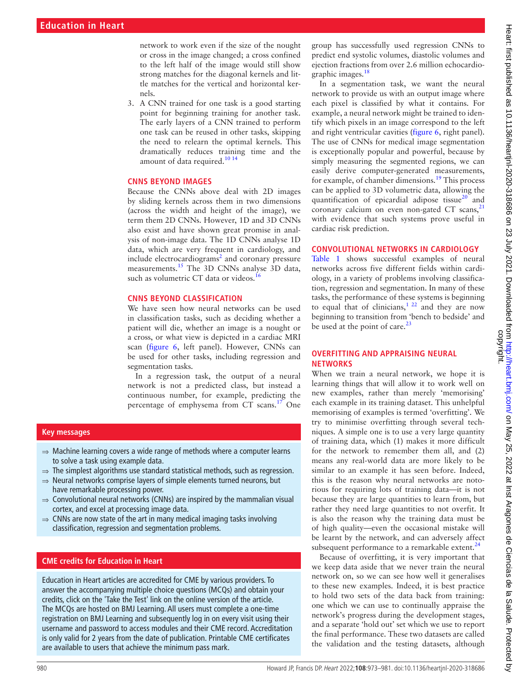network to work even if the size of the nought or cross in the image changed; a cross confined to the left half of the image would still show strong matches for the diagonal kernels and little matches for the vertical and horizontal kernels.

3. A CNN trained for one task is a good starting point for beginning training for another task. The early layers of a CNN trained to perform one task can be reused in other tasks, skipping the need to relearn the optimal kernels. This dramatically reduces training time and the amount of data required.<sup>10 14</sup>

#### **CNNS BEYOND IMAGES**

Because the CNNs above deal with 2D images by sliding kernels across them in two dimensions (across the width and height of the image), we term them 2D CNNs. However, 1D and 3D CNNs also exist and have shown great promise in analysis of non-image data. The 1D CNNs analyse 1D data, which are very frequent in cardiology, and include electrocardiograms<sup>2</sup> and coronary pressure measurements.<sup>[15](#page-8-26)</sup> The 3D CNNs analyse 3D data, such as volumetric CT data or videos.<sup>16</sup>

#### **CNNS BEYOND CLASSIFICATION**

We have seen how neural networks can be used in classification tasks, such as deciding whether a patient will die, whether an image is a nought or a cross, or what view is depicted in a cardiac MRI scan [\(figure](#page-5-0) 6, left panel). However, CNNs can be used for other tasks, including regression and segmentation tasks.

In a regression task, the output of a neural network is not a predicted class, but instead a continuous number, for example, predicting the percentage of emphysema from CT scans.<sup>[17](#page-8-30)</sup> One

#### **Key messages**

- $\Rightarrow$  Machine learning covers a wide range of methods where a computer learns to solve a task using example data.
- $\Rightarrow$  The simplest algorithms use standard statistical methods, such as regression.
- ⇒ Neural networks comprise layers of simple elements turned neurons, but have remarkable processing power.
- $\Rightarrow$  Convolutional neural networks (CNNs) are inspired by the mammalian visual cortex, and excel at processing image data.
- $\Rightarrow$  CNNs are now state of the art in many medical imaging tasks involving classification, regression and segmentation problems.

#### **CME credits for Education in Heart**

Education in Heart articles are accredited for CME by various providers. To answer the accompanying multiple choice questions (MCQs) and obtain your credits, click on the 'Take the Test' link on the online version of the article. The MCQs are hosted on BMJ Learning. All users must complete a one-time registration on BMJ Learning and subsequently log in on every visit using their username and password to access modules and their CME record. Accreditation is only valid for 2 years from the date of publication. Printable CME certificates are available to users that achieve the minimum pass mark.

group has successfully used regression CNNs to predict end systolic volumes, diastolic volumes and ejection fractions from over 2.6 million echocardiographic images.<sup>18</sup>

In a segmentation task, we want the neural network to provide us with an output image where each pixel is classified by what it contains. For example, a neural network might be trained to identify which pixels in an image correspond to the left and right ventricular cavities [\(figure](#page-5-0) 6, right panel). The use of CNNs for medical image segmentation is exceptionally popular and powerful, because by simply measuring the segmented regions, we can easily derive computer-generated measurements, for example, of chamber dimensions[.19](#page-8-13) This process can be applied to 3D volumetric data, allowing the quantification of epicardial adipose tissue $^{20}$  and coronary calcium on even non-gated CT scans, $^{21}$  $^{21}$  $^{21}$ with evidence that such systems prove useful in cardiac risk prediction.

#### **CONVOLUTIONAL NETWORKS IN CARDIOLOGY**

[Table](#page-6-0) 1 shows successful examples of neural networks across five different fields within cardiology, in a variety of problems involving classification, regression and segmentation. In many of these tasks, the performance of these systems is beginning to equal that of clinicians,<sup>1 22</sup> and they are now beginning to transition from 'bench to bedside' and be used at the point of care. $^{23}$ 

#### **OVERFITTING AND APPRAISING NEURAL NETWORKS**

When we train a neural network, we hope it is learning things that will allow it to work well on new examples, rather than merely 'memorising' each example in its training dataset. This unhelpful memorising of examples is termed 'overfitting'. We try to minimise overfitting through several techniques. A simple one is to use a very large quantity of training data, which (1) makes it more difficult for the network to remember them all, and (2) means any real-world data are more likely to be similar to an example it has seen before. Indeed, this is the reason why neural networks are notorious for requiring lots of training data—it is not because they are large quantities to learn from, but rather they need large quantities to not overfit. It is also the reason why the training data must be of high quality—even the occasional mistake will be learnt by the network, and can adversely affect subsequent performance to a remarkable extent. $24$ 

Because of overfitting, it is very important that we keep data aside that we never train the neural network on, so we can see how well it generalises to these new examples. Indeed, it is best practice to hold two sets of the data back from training: one which we can use to continually appraise the network's progress during the development stages, and a separate 'hold out' set which we use to report the final performance. These two datasets are called the validation and the testing datasets, although